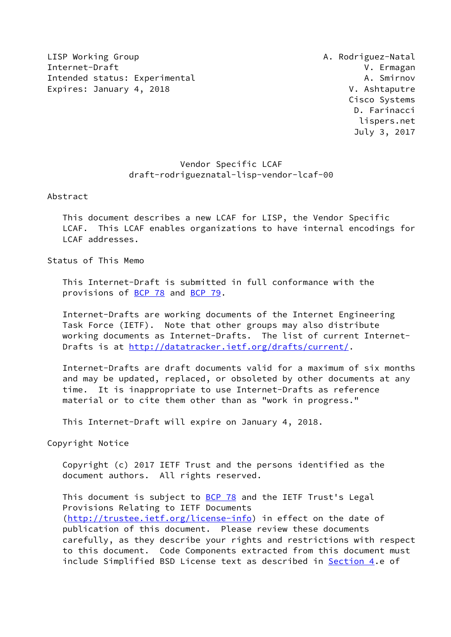LISP Working Group **A. Rodriguez-Natal** Internet-Draft V. Ermagan Intended status: Experimental A. Smirnov Expires: January 4, 2018 V. Ashtaputre

 Cisco Systems D. Farinacci lispers.net July 3, 2017

## Vendor Specific LCAF draft-rodrigueznatal-lisp-vendor-lcaf-00

Abstract

 This document describes a new LCAF for LISP, the Vendor Specific LCAF. This LCAF enables organizations to have internal encodings for LCAF addresses.

Status of This Memo

 This Internet-Draft is submitted in full conformance with the provisions of [BCP 78](https://datatracker.ietf.org/doc/pdf/bcp78) and [BCP 79](https://datatracker.ietf.org/doc/pdf/bcp79).

 Internet-Drafts are working documents of the Internet Engineering Task Force (IETF). Note that other groups may also distribute working documents as Internet-Drafts. The list of current Internet Drafts is at<http://datatracker.ietf.org/drafts/current/>.

 Internet-Drafts are draft documents valid for a maximum of six months and may be updated, replaced, or obsoleted by other documents at any time. It is inappropriate to use Internet-Drafts as reference material or to cite them other than as "work in progress."

This Internet-Draft will expire on January 4, 2018.

Copyright Notice

 Copyright (c) 2017 IETF Trust and the persons identified as the document authors. All rights reserved.

This document is subject to **[BCP 78](https://datatracker.ietf.org/doc/pdf/bcp78)** and the IETF Trust's Legal Provisions Relating to IETF Documents [\(http://trustee.ietf.org/license-info](http://trustee.ietf.org/license-info)) in effect on the date of publication of this document. Please review these documents carefully, as they describe your rights and restrictions with respect to this document. Code Components extracted from this document must include Simplified BSD License text as described in [Section 4.](#page-2-0)e of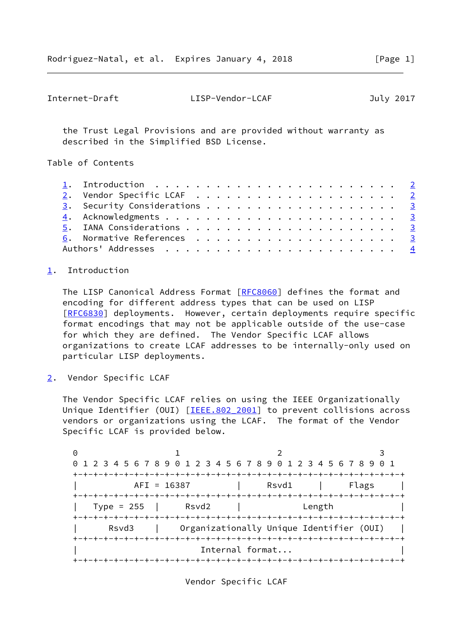```
Internet-Draft LISP-Vendor-LCAF July 2017
```
 the Trust Legal Provisions and are provided without warranty as described in the Simplified BSD License.

Table of Contents

|  | 1. Introduction $\ldots \ldots \ldots \ldots \ldots \ldots \ldots \ldots \ldots$ |  |  |  |  |  |  |  |  |  |  |
|--|----------------------------------------------------------------------------------|--|--|--|--|--|--|--|--|--|--|
|  |                                                                                  |  |  |  |  |  |  |  |  |  |  |
|  | 3. Security Considerations 3                                                     |  |  |  |  |  |  |  |  |  |  |
|  |                                                                                  |  |  |  |  |  |  |  |  |  |  |
|  |                                                                                  |  |  |  |  |  |  |  |  |  |  |
|  |                                                                                  |  |  |  |  |  |  |  |  |  |  |
|  |                                                                                  |  |  |  |  |  |  |  |  |  |  |

## <span id="page-1-0"></span>[1](#page-1-0). Introduction

The LISP Canonical Address Format [[RFC8060](https://datatracker.ietf.org/doc/pdf/rfc8060)] defines the format and encoding for different address types that can be used on LISP [\[RFC6830](https://datatracker.ietf.org/doc/pdf/rfc6830)] deployments. However, certain deployments require specific format encodings that may not be applicable outside of the use-case for which they are defined. The Vendor Specific LCAF allows organizations to create LCAF addresses to be internally-only used on particular LISP deployments.

<span id="page-1-2"></span>[2](#page-1-2). Vendor Specific LCAF

 The Vendor Specific LCAF relies on using the IEEE Organizationally Unique Identifier (OUI) [\[IEEE.802\\_2001](#page-3-2)] to prevent collisions across vendors or organizations using the LCAF. The format of the Vendor Specific LCAF is provided below.

0 1 2 3 0 1 2 3 4 5 6 7 8 9 0 1 2 3 4 5 6 7 8 9 0 1 2 3 4 5 6 7 8 9 0 1 +-+-+-+-+-+-+-+-+-+-+-+-+-+-+-+-+-+-+-+-+-+-+-+-+-+-+-+-+-+-+-+-+ | AFI = 16387 | Rsvd1 | Flags | +-+-+-+-+-+-+-+-+-+-+-+-+-+-+-+-+-+-+-+-+-+-+-+-+-+-+-+-+-+-+-+-+ | Type = 255 | Rsvd2 | Length | +-+-+-+-+-+-+-+-+-+-+-+-+-+-+-+-+-+-+-+-+-+-+-+-+-+-+-+-+-+-+-+-+ Rsvd3 | Organizationally Unique Identifier (OUI) | +-+-+-+-+-+-+-+-+-+-+-+-+-+-+-+-+-+-+-+-+-+-+-+-+-+-+-+-+-+-+-+-+ Internal format... +-+-+-+-+-+-+-+-+-+-+-+-+-+-+-+-+-+-+-+-+-+-+-+-+-+-+-+-+-+-+-+-+

Vendor Specific LCAF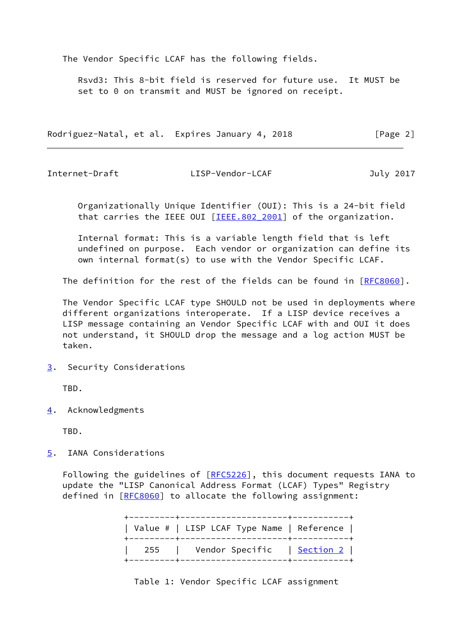The Vendor Specific LCAF has the following fields.

 Rsvd3: This 8-bit field is reserved for future use. It MUST be set to 0 on transmit and MUST be ignored on receipt.

Rodriguez-Natal, et al. Expires January 4, 2018 [Page 2]

<span id="page-2-2"></span>

Internet-Draft LISP-Vendor-LCAF July 2017

 Organizationally Unique Identifier (OUI): This is a 24-bit field that carries the IEEE OUI [\[IEEE.802\\_2001\]](#page-3-2) of the organization.

 Internal format: This is a variable length field that is left undefined on purpose. Each vendor or organization can define its own internal format(s) to use with the Vendor Specific LCAF.

The definition for the rest of the fields can be found in [[RFC8060](https://datatracker.ietf.org/doc/pdf/rfc8060)].

 The Vendor Specific LCAF type SHOULD not be used in deployments where different organizations interoperate. If a LISP device receives a LISP message containing an Vendor Specific LCAF with and OUI it does not understand, it SHOULD drop the message and a log action MUST be taken.

<span id="page-2-1"></span>[3](#page-2-1). Security Considerations

TBD.

<span id="page-2-0"></span>[4](#page-2-0). Acknowledgments

TBD.

<span id="page-2-3"></span>[5](#page-2-3). IANA Considerations

Following the guidelines of [\[RFC5226](https://datatracker.ietf.org/doc/pdf/rfc5226)], this document requests IANA to update the "LISP Canonical Address Format (LCAF) Types" Registry defined in [[RFC8060\]](https://datatracker.ietf.org/doc/pdf/rfc8060) to allocate the following assignment:

| Value #   LISP LCAF Type Name   Reference |  |
|-------------------------------------------|--|
| 255   Vendor Specific   <u>Section 2</u>  |  |

Table 1: Vendor Specific LCAF assignment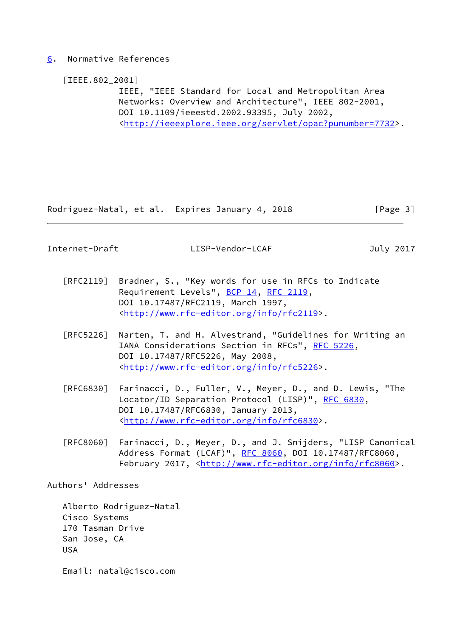## <span id="page-3-0"></span>[6](#page-3-0). Normative References

<span id="page-3-2"></span>[IEEE.802\_2001]

 IEEE, "IEEE Standard for Local and Metropolitan Area Networks: Overview and Architecture", IEEE 802-2001, DOI 10.1109/ieeestd.2002.93395, July 2002, <[http://ieeexplore.ieee.org/servlet/opac?punumber=7732>](http://ieeexplore.ieee.org/servlet/opac?punumber=7732).

Rodriguez-Natal, et al. Expires January 4, 2018 [Page 3]

<span id="page-3-1"></span>Internet-Draft LISP-Vendor-LCAF July 2017

- [RFC2119] Bradner, S., "Key words for use in RFCs to Indicate Requirement Levels", [BCP 14](https://datatracker.ietf.org/doc/pdf/bcp14), [RFC 2119](https://datatracker.ietf.org/doc/pdf/rfc2119), DOI 10.17487/RFC2119, March 1997, <<http://www.rfc-editor.org/info/rfc2119>>.
- [RFC5226] Narten, T. and H. Alvestrand, "Guidelines for Writing an IANA Considerations Section in RFCs", [RFC 5226](https://datatracker.ietf.org/doc/pdf/rfc5226), DOI 10.17487/RFC5226, May 2008, <<http://www.rfc-editor.org/info/rfc5226>>.
- [RFC6830] Farinacci, D., Fuller, V., Meyer, D., and D. Lewis, "The Locator/ID Separation Protocol (LISP)", [RFC 6830,](https://datatracker.ietf.org/doc/pdf/rfc6830) DOI 10.17487/RFC6830, January 2013, <<http://www.rfc-editor.org/info/rfc6830>>.
- [RFC8060] Farinacci, D., Meyer, D., and J. Snijders, "LISP Canonical Address Format (LCAF)", [RFC 8060,](https://datatracker.ietf.org/doc/pdf/rfc8060) DOI 10.17487/RFC8060, February 2017, <<http://www.rfc-editor.org/info/rfc8060>>.

Authors' Addresses

 Alberto Rodriguez-Natal Cisco Systems 170 Tasman Drive San Jose, CA USA

Email: natal@cisco.com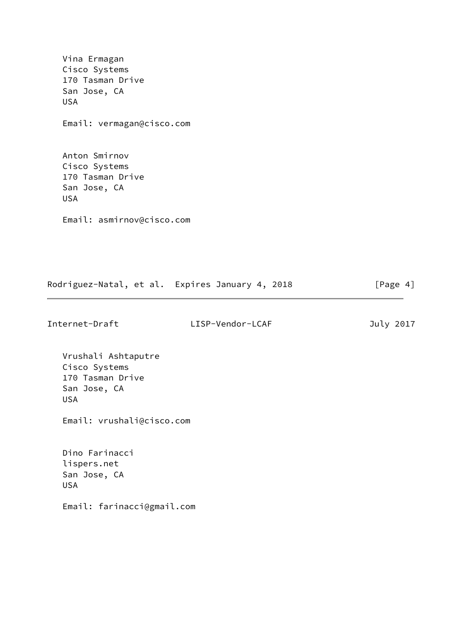Vina Ermagan Cisco Systems 170 Tasman Drive San Jose, CA USA Email: vermagan@cisco.com Anton Smirnov Cisco Systems 170 Tasman Drive San Jose, CA USA Email: asmirnov@cisco.com

Rodriguez-Natal, et al. Expires January 4, 2018 [Page 4]

Internet-Draft LISP-Vendor-LCAF July 2017

 Vrushali Ashtaputre Cisco Systems 170 Tasman Drive San Jose, CA USA

Email: vrushali@cisco.com

 Dino Farinacci lispers.net San Jose, CA USA

Email: farinacci@gmail.com